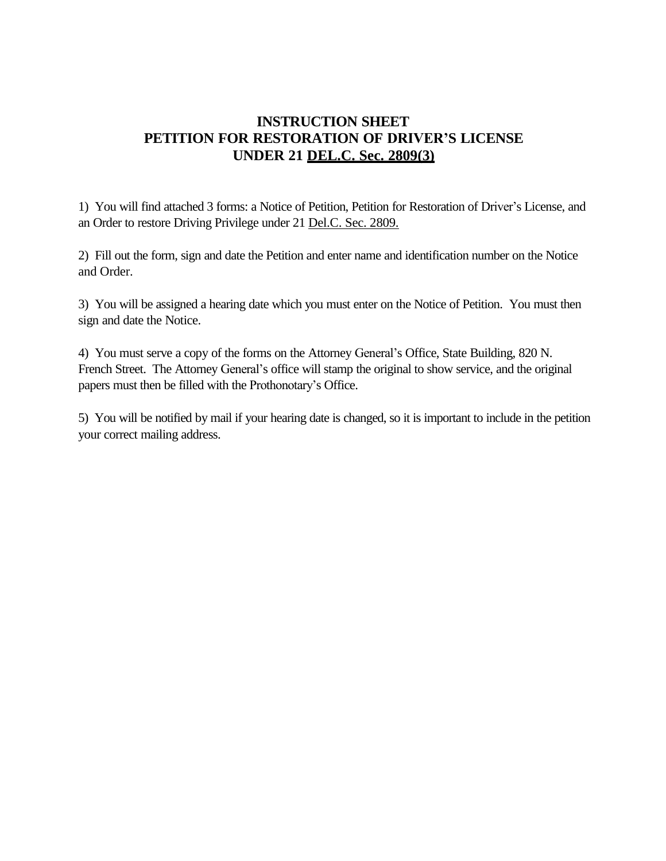### **INSTRUCTION SHEET PETITION FOR RESTORATION OF DRIVER'S LICENSE UNDER 21 DEL.C. Sec. 2809(3)**

1) You will find attached 3 forms: a Notice of Petition, Petition for Restoration of Driver's License, and an Order to restore Driving Privilege under 21 Del.C. Sec. 2809.

2) Fill out the form, sign and date the Petition and enter name and identification number on the Notice and Order.

3) You will be assigned a hearing date which you must enter on the Notice of Petition. You must then sign and date the Notice.

4) You must serve a copy of the forms on the Attorney General's Office, State Building, 820 N. French Street. The Attorney General's office will stamp the original to show service, and the original papers must then be filled with the Prothonotary's Office.

5) You will be notified by mail if your hearing date is changed, so it is important to include in the petition your correct mailing address.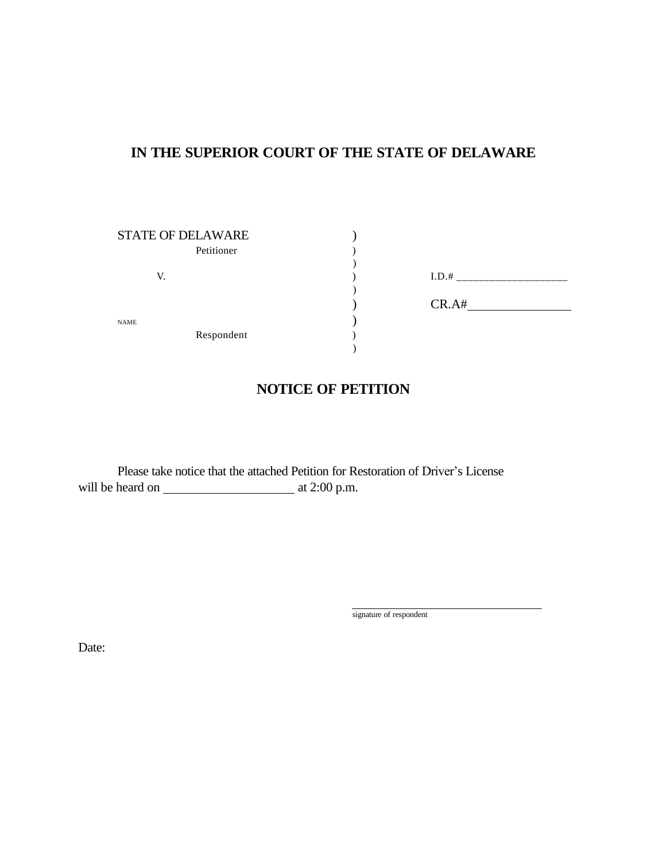### **IN THE SUPERIOR COURT OF THE STATE OF DELAWARE**

| <b>STATE OF DELAWARE</b> |       |
|--------------------------|-------|
| Petitioner               |       |
|                          |       |
| V.                       | I.D.# |
|                          |       |
|                          | CR.A# |
| <b>NAME</b>              |       |
| Respondent               |       |
|                          |       |

| I.D.# |  |
|-------|--|
| CR.A# |  |

### **NOTICE OF PETITION**

Please take notice that the attached Petition for Restoration of Driver's License will be heard on at 2:00 p.m.

signature of respondent

Date: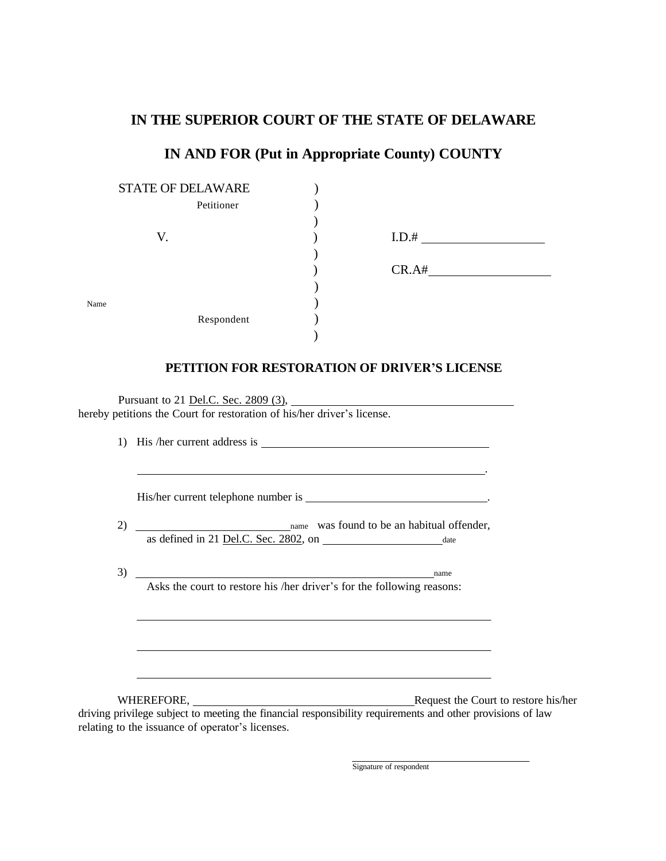#### **IN THE SUPERIOR COURT OF THE STATE OF DELAWARE**

# **IN AND FOR (Put in Appropriate County) COUNTY**

|      | <b>STATE OF DELAWARE</b><br>Petitioner                                                                                  |  |                                                                                                                                                                                                                                                                                                                                                                                                                                                                 |
|------|-------------------------------------------------------------------------------------------------------------------------|--|-----------------------------------------------------------------------------------------------------------------------------------------------------------------------------------------------------------------------------------------------------------------------------------------------------------------------------------------------------------------------------------------------------------------------------------------------------------------|
|      |                                                                                                                         |  |                                                                                                                                                                                                                                                                                                                                                                                                                                                                 |
|      | V.                                                                                                                      |  | $I.D.# \begin{tabular}{ c c c } \hline \multicolumn{3}{ c }{\textbf{I}} & \multicolumn{3}{ c }{\textbf{II}} & \multicolumn{3}{ c }{\textbf{II}} \\ \hline \multicolumn{3}{ c }{\textbf{II}} & \multicolumn{3}{ c }{\textbf{III}} & \multicolumn{3}{ c }{\textbf{III}} \\ \hline \multicolumn{3}{ c }{\textbf{II}} & \multicolumn{3}{ c }{\textbf{III}} & \multicolumn{3}{ c }{\textbf{III}} \\ \hline \multicolumn{3}{ c }{\textbf{III}} & \multicolumn{3}{ c $ |
|      |                                                                                                                         |  |                                                                                                                                                                                                                                                                                                                                                                                                                                                                 |
|      |                                                                                                                         |  |                                                                                                                                                                                                                                                                                                                                                                                                                                                                 |
|      |                                                                                                                         |  |                                                                                                                                                                                                                                                                                                                                                                                                                                                                 |
| Name |                                                                                                                         |  |                                                                                                                                                                                                                                                                                                                                                                                                                                                                 |
|      | Respondent                                                                                                              |  |                                                                                                                                                                                                                                                                                                                                                                                                                                                                 |
|      |                                                                                                                         |  |                                                                                                                                                                                                                                                                                                                                                                                                                                                                 |
|      |                                                                                                                         |  | PETITION FOR RESTORATION OF DRIVER'S LICENSE                                                                                                                                                                                                                                                                                                                                                                                                                    |
|      |                                                                                                                         |  |                                                                                                                                                                                                                                                                                                                                                                                                                                                                 |
|      |                                                                                                                         |  |                                                                                                                                                                                                                                                                                                                                                                                                                                                                 |
|      | Pursuant to 21 <u>Del.C. Sec. 2809 (3)</u> ,<br>hereby petitions the Court for restoration of his/her driver's license. |  |                                                                                                                                                                                                                                                                                                                                                                                                                                                                 |
|      |                                                                                                                         |  |                                                                                                                                                                                                                                                                                                                                                                                                                                                                 |
|      |                                                                                                                         |  |                                                                                                                                                                                                                                                                                                                                                                                                                                                                 |
|      |                                                                                                                         |  | <u> 1989 - Johann Stein, mars an deutscher Stein († 1989)</u>                                                                                                                                                                                                                                                                                                                                                                                                   |
|      |                                                                                                                         |  |                                                                                                                                                                                                                                                                                                                                                                                                                                                                 |
|      |                                                                                                                         |  |                                                                                                                                                                                                                                                                                                                                                                                                                                                                 |
|      |                                                                                                                         |  |                                                                                                                                                                                                                                                                                                                                                                                                                                                                 |
|      | as defined in 21 <u>Del.C. Sec. 2802</u> , on date                                                                      |  |                                                                                                                                                                                                                                                                                                                                                                                                                                                                 |
|      |                                                                                                                         |  |                                                                                                                                                                                                                                                                                                                                                                                                                                                                 |
|      | $3)$ name                                                                                                               |  |                                                                                                                                                                                                                                                                                                                                                                                                                                                                 |
|      | Asks the court to restore his /her driver's for the following reasons:                                                  |  |                                                                                                                                                                                                                                                                                                                                                                                                                                                                 |
|      |                                                                                                                         |  |                                                                                                                                                                                                                                                                                                                                                                                                                                                                 |
|      |                                                                                                                         |  |                                                                                                                                                                                                                                                                                                                                                                                                                                                                 |
|      |                                                                                                                         |  |                                                                                                                                                                                                                                                                                                                                                                                                                                                                 |
|      |                                                                                                                         |  |                                                                                                                                                                                                                                                                                                                                                                                                                                                                 |
|      |                                                                                                                         |  |                                                                                                                                                                                                                                                                                                                                                                                                                                                                 |
|      | $\pi$ innnonn                                                                                                           |  | $\sim$ $\sim$ $\sim$ $\sim$<br>$\mathbf{r}$                                                                                                                                                                                                                                                                                                                                                                                                                     |

WHEREFORE, Request the Court to restore his/her driving privilege subject to meeting the financial responsibility requirements and other provisions of law relating to the issuance of operator's licenses.

Signature of respondent